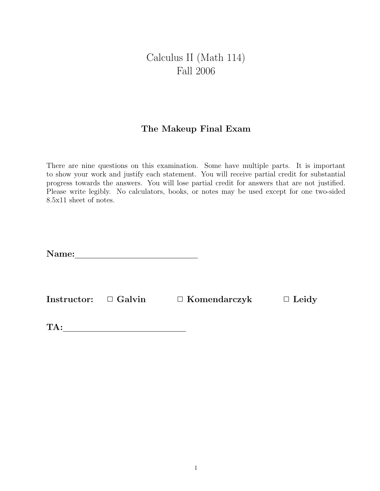# Calculus II (Math 114) Fall 2006

## The Makeup Final Exam

There are nine questions on this examination. Some have multiple parts. It is important to show your work and justify each statement. You will receive partial credit for substantial progress towards the answers. You will lose partial credit for answers that are not justified. Please write legibly. No calculators, books, or notes may be used except for one two-sided 8.5x11 sheet of notes.

| Instructor: $\Box$ Galvin | $\Box$ Komendarczyk | $\Box$ Leidy |
|---------------------------|---------------------|--------------|
|                           |                     |              |
|                           |                     |              |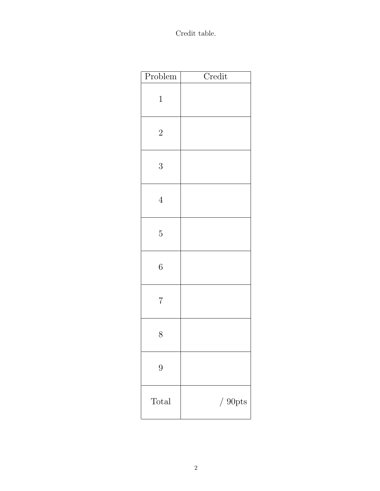Credit table.

| Problem        | Credit    |
|----------------|-----------|
| $\mathbf{1}$   |           |
| $\overline{2}$ |           |
| 3              |           |
| $\overline{4}$ |           |
| $\bf 5$        |           |
| $\sqrt{6}$     |           |
| $\overline{7}$ |           |
| 8              |           |
| 9              |           |
| Total          | $/90$ pts |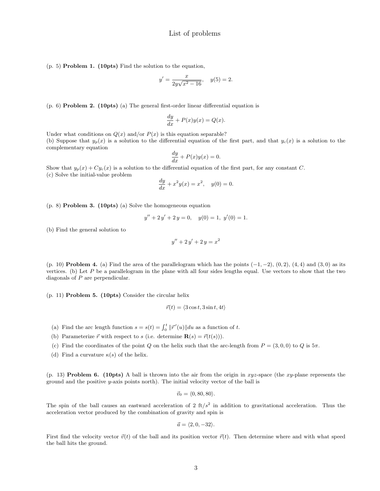(p. 5) Problem 1. (10pts) Find the solution to the equation,

$$
y' = \frac{x}{2y\sqrt{x^2 - 16}}, \quad y(5) = 2.
$$

(p. 6) Problem 2. (10pts) (a) The general first-order linear differential equation is

$$
\frac{dy}{dx} + P(x)y(x) = Q(x).
$$

Under what conditions on  $Q(x)$  and/or  $P(x)$  is this equation separable? (b) Suppose that  $y_p(x)$  is a solution to the differential equation of the first part, and that  $y_c(x)$  is a solution to the complementary equation

$$
\frac{dy}{dx} + P(x)y(x) = 0.
$$

 $\overline{0}$ .

Show that  $y_p(x) + Cy_c(x)$  is a solution to the differential equation of the first part, for any constant C. (c) Solve the initial-value problem

$$
\frac{dy}{dx} + x^2 y(x) = x^2, \quad y(0) =
$$

(p. 8) Problem 3. (10pts) (a) Solve the homogeneous equation

$$
y'' + 2y' + 2y = 0, \quad y(0) = 1, \ y'(0) = 1.
$$

(b) Find the general solution to

$$
y'' + 2y' + 2y = x^2
$$

(p. 10) Problem 4. (a) Find the area of the parallelogram which has the points  $(-1, -2)$ ,  $(0, 2)$ ,  $(4, 4)$  and  $(3, 0)$  as its vertices. (b) Let  $P$  be a parallelogram in the plane with all four sides lengths equal. Use vectors to show that the two diagonals of P are perpendicular.

(p. 11) Problem 5. (10pts) Consider the circular helix

$$
\vec{r}(t) = \langle 3\cos t, 3\sin t, 4t \rangle
$$

- (a) Find the arc length function  $s = s(t) = \int_0^t ||\vec{r}'(u)||du$  as a function of t.
- (b) Parameterize  $\vec{r}$  with respect to s (i.e. determine  $\mathbf{R}(s) = \vec{r}(t(s))$ ).
- (c) Find the coordinates of the point Q on the helix such that the arc-length from  $P = (3, 0, 0)$  to Q is  $5\pi$ .
- (d) Find a curvature  $\kappa(s)$  of the helix.

(p. 13) Problem 6. (10pts) A ball is thrown into the air from the origin in xyz-space (the xy-plane represents the ground and the positive  $y$ -axis points north). The initial velocity vector of the ball is

$$
\vec{v}_0 = \langle 0, 80, 80 \rangle.
$$

The spin of the ball causes an eastward acceleration of 2  $f\text{t/s}^2$  in addition to gravitational acceleration. Thus the acceleration vector produced by the combination of gravity and spin is

$$
\vec{a} = \langle 2, 0, -32 \rangle.
$$

First find the velocity vector  $\vec{v}(t)$  of the ball and its position vector  $\vec{r}(t)$ . Then determine where and with what speed the ball hits the ground.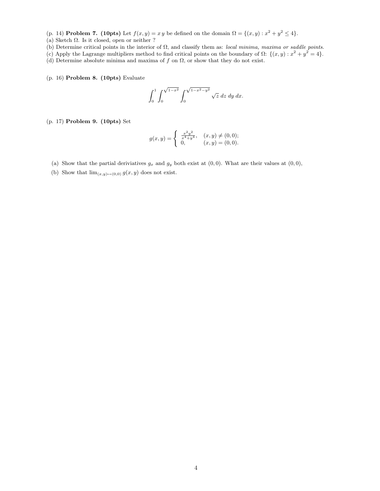(p. 14) Problem 7. (10pts) Let  $f(x, y) = xy$  be defined on the domain  $\Omega = \{(x, y) : x^2 + y^2 \le 4\}.$ (a) Sketch  $\Omega$ . Is it closed, open or neither ?

- 
- (b) Determine critical points in the interior of  $\Omega$ , and classify them as: local minima, maxima or saddle points.
- (c) Apply the Lagrange multipliers method to find critical points on the boundary of  $\Omega$ :  $\{(x, y) : x^2 + y^2 = 4\}$ .
- (d) Determine absolute minima and maxima of f on  $\Omega$ , or show that they do not exist.

(p. 16) Problem 8. (10pts) Evaluate

$$
\int_0^1 \int_0^{\sqrt{1-x^2}} \int_0^{\sqrt{1-x^2-y^2}} \sqrt{z} \, dz \, dy \, dx.
$$

(p. 17) Problem 9. (10pts) Set

$$
g(x,y) = \begin{cases} \frac{x^2y^2}{x^4+y^4}, & (x,y) \neq (0,0); \\ 0, & (x,y) = (0,0). \end{cases}
$$

- (a) Show that the partial deriviatives  $g_x$  and  $g_y$  both exist at  $(0, 0)$ . What are their values at  $(0, 0)$ ,
- (b) Show that  $\lim_{(x,y)\mapsto(0,0)} g(x, y)$  does not exist.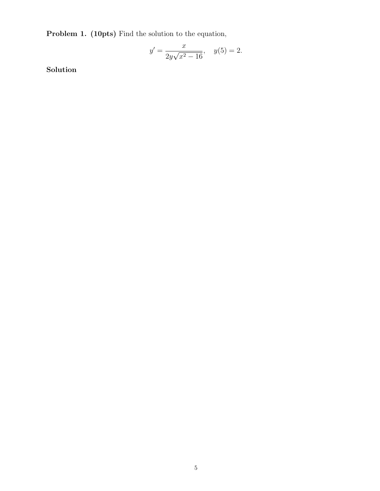Problem 1. (10pts) Find the solution to the equation,

$$
y' = \frac{x}{2y\sqrt{x^2 - 16}}, \quad y(5) = 2.
$$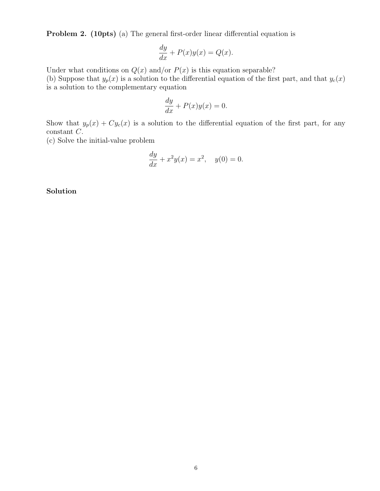Problem 2. (10pts) (a) The general first-order linear differential equation is

$$
\frac{dy}{dx} + P(x)y(x) = Q(x).
$$

Under what conditions on  $Q(x)$  and/or  $P(x)$  is this equation separable?

(b) Suppose that  $y_p(x)$  is a solution to the differential equation of the first part, and that  $y_c(x)$ is a solution to the complementary equation

$$
\frac{dy}{dx} + P(x)y(x) = 0.
$$

Show that  $y_p(x) + Cy_c(x)$  is a solution to the differential equation of the first part, for any constant C.

(c) Solve the initial-value problem

$$
\frac{dy}{dx} + x^2 y(x) = x^2, \quad y(0) = 0.
$$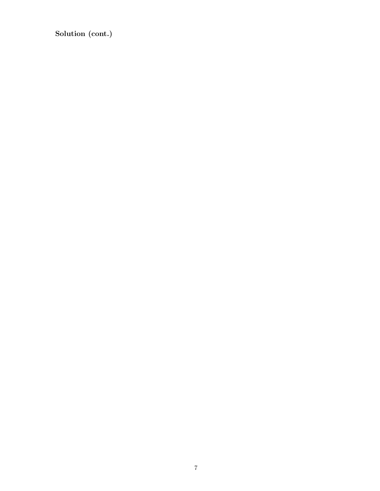Solution (cont.)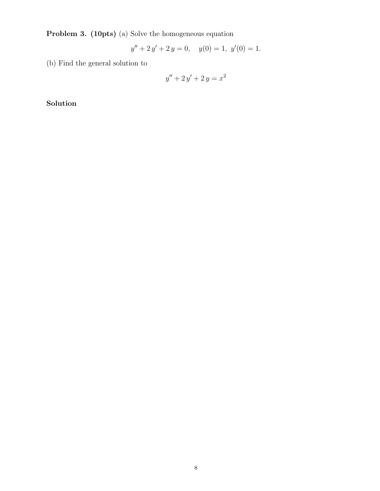Problem 3. (10pts) (a) Solve the homogeneous equation

$$
y'' + 2y' + 2y = 0, \quad y(0) = 1, \ y'(0) = 1.
$$

(b) Find the general solution to

$$
y'' + 2y' + 2y = x^2
$$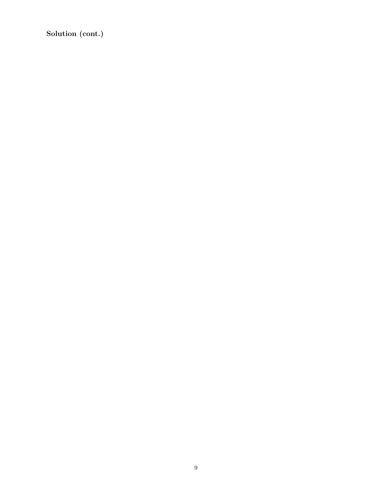Solution (cont.)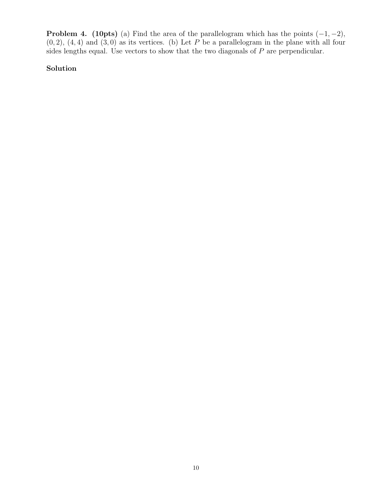**Problem 4.** (10pts) (a) Find the area of the parallelogram which has the points  $(-1, -2)$ ,  $(0, 2), (4, 4)$  and  $(3, 0)$  as its vertices. (b) Let P be a parallelogram in the plane with all four sides lengths equal. Use vectors to show that the two diagonals of P are perpendicular.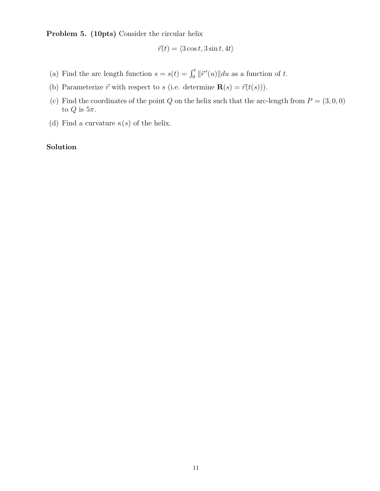Problem 5. (10pts) Consider the circular helix

$$
\vec{r}(t) = \langle 3\cos t, 3\sin t, 4t \rangle
$$

- (a) Find the arc length function  $s = s(t) = \int_0^t ||\vec{r}'(u)||du$  as a function of t.
- (b) Parameterize  $\vec{r}$  with respect to s (i.e. determine  $\mathbf{R}(s) = \vec{r}(t(s))$ ).
- (c) Find the coordinates of the point  $Q$  on the helix such that the arc-length from  $P = (3, 0, 0)$ to  $Q$  is  $5\pi$ .
- (d) Find a curvature  $\kappa(s)$  of the helix.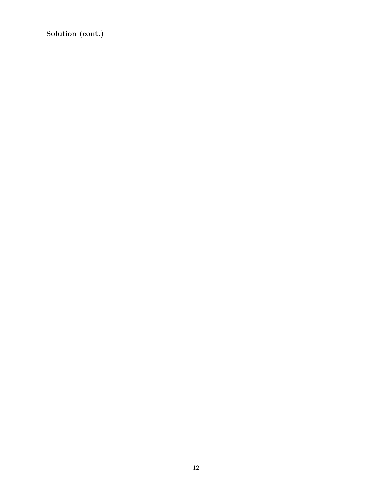Solution (cont.)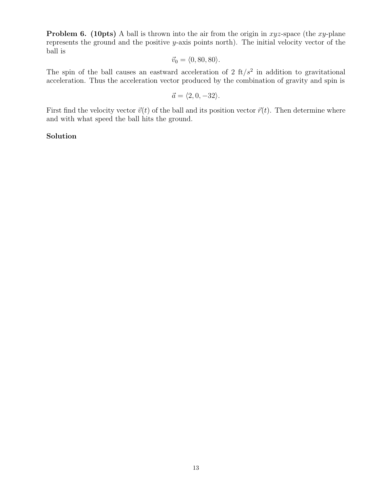**Problem 6.** (10pts) A ball is thrown into the air from the origin in xyz-space (the xy-plane represents the ground and the positive y-axis points north). The initial velocity vector of the ball is

$$
\vec{v}_0 = \langle 0, 80, 80 \rangle.
$$

The spin of the ball causes an eastward acceleration of 2  $ft/s^2$  in addition to gravitational acceleration. Thus the acceleration vector produced by the combination of gravity and spin is

$$
\vec{a} = \langle 2, 0, -32 \rangle.
$$

First find the velocity vector  $\vec{v}(t)$  of the ball and its position vector  $\vec{r}(t)$ . Then determine where and with what speed the ball hits the ground.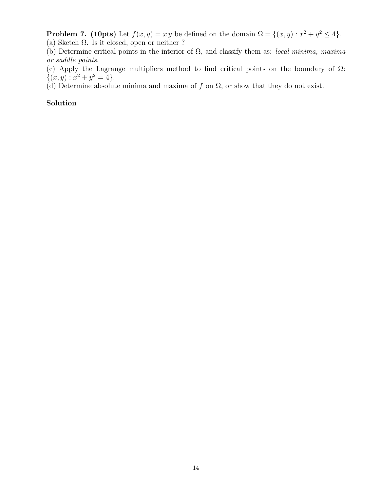**Problem 7.** (10pts) Let  $f(x, y) = xy$  be defined on the domain  $\Omega = \{(x, y) : x^2 + y^2 \le 4\}.$ (a) Sketch  $\Omega$ . Is it closed, open or neither ?

(b) Determine critical points in the interior of  $\Omega$ , and classify them as: *local minima, maxima* or saddle points.

(c) Apply the Lagrange multipliers method to find critical points on the boundary of  $\Omega$ :  $\{(x, y) : x^2 + y^2 = 4\}.$ 

(d) Determine absolute minima and maxima of f on  $\Omega$ , or show that they do not exist.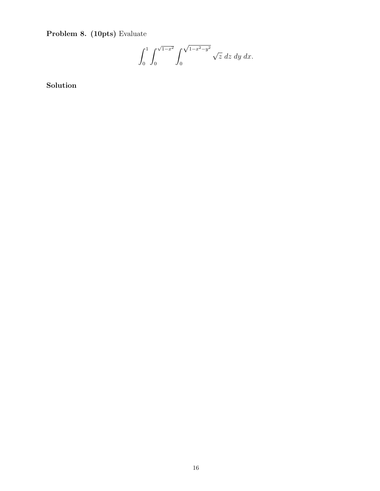Problem 8. (10pts) Evaluate

$$
\int_0^1 \int_0^{\sqrt{1-x^2}} \int_0^{\sqrt{1-x^2-y^2}} \sqrt{z} \, dz \, dy \, dx.
$$